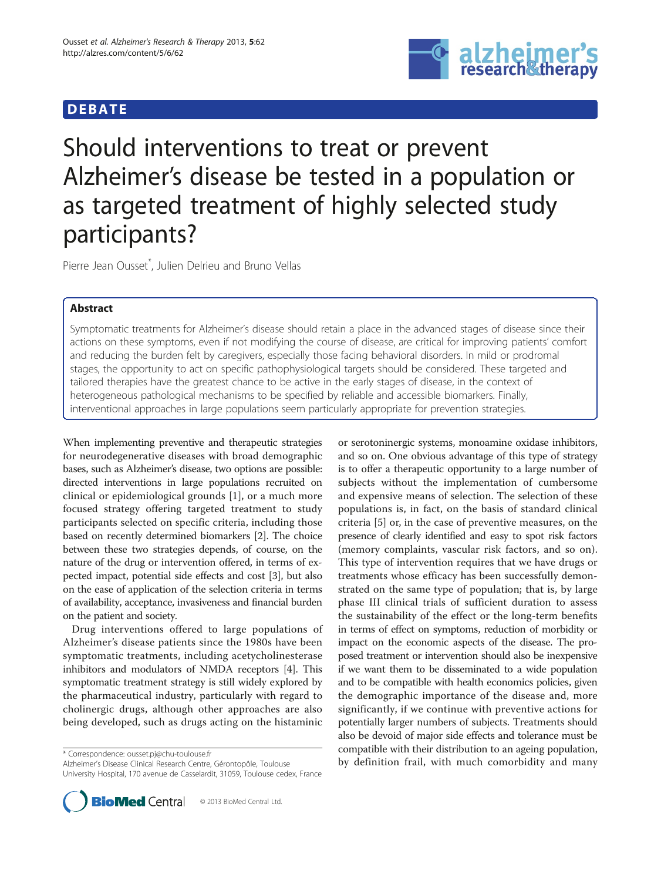# DEBATE



Should interventions to treat or prevent Alzheimer's disease be tested in a population or as targeted treatment of highly selected study participants?

Pierre Jean Ousset\* , Julien Delrieu and Bruno Vellas

# Abstract

Symptomatic treatments for Alzheimer's disease should retain a place in the advanced stages of disease since their actions on these symptoms, even if not modifying the course of disease, are critical for improving patients' comfort and reducing the burden felt by caregivers, especially those facing behavioral disorders. In mild or prodromal stages, the opportunity to act on specific pathophysiological targets should be considered. These targeted and tailored therapies have the greatest chance to be active in the early stages of disease, in the context of heterogeneous pathological mechanisms to be specified by reliable and accessible biomarkers. Finally, interventional approaches in large populations seem particularly appropriate for prevention strategies.

When implementing preventive and therapeutic strategies for neurodegenerative diseases with broad demographic bases, such as Alzheimer's disease, two options are possible: directed interventions in large populations recruited on clinical or epidemiological grounds [\[1](#page-2-0)], or a much more focused strategy offering targeted treatment to study participants selected on specific criteria, including those based on recently determined biomarkers [\[2](#page-2-0)]. The choice between these two strategies depends, of course, on the nature of the drug or intervention offered, in terms of expected impact, potential side effects and cost [\[3](#page-2-0)], but also on the ease of application of the selection criteria in terms of availability, acceptance, invasiveness and financial burden on the patient and society.

Drug interventions offered to large populations of Alzheimer's disease patients since the 1980s have been symptomatic treatments, including acetycholinesterase inhibitors and modulators of NMDA receptors [[4](#page-2-0)]. This symptomatic treatment strategy is still widely explored by the pharmaceutical industry, particularly with regard to cholinergic drugs, although other approaches are also being developed, such as drugs acting on the histaminic

Alzheimer's Disease Clinical Research Centre, Gérontopôle, Toulouse

University Hospital, 170 avenue de Casselardit, 31059, Toulouse cedex, France



or serotoninergic systems, monoamine oxidase inhibitors, and so on. One obvious advantage of this type of strategy is to offer a therapeutic opportunity to a large number of subjects without the implementation of cumbersome and expensive means of selection. The selection of these populations is, in fact, on the basis of standard clinical criteria [\[5](#page-2-0)] or, in the case of preventive measures, on the presence of clearly identified and easy to spot risk factors (memory complaints, vascular risk factors, and so on). This type of intervention requires that we have drugs or treatments whose efficacy has been successfully demonstrated on the same type of population; that is, by large phase III clinical trials of sufficient duration to assess the sustainability of the effect or the long-term benefits in terms of effect on symptoms, reduction of morbidity or impact on the economic aspects of the disease. The proposed treatment or intervention should also be inexpensive if we want them to be disseminated to a wide population and to be compatible with health economics policies, given the demographic importance of the disease and, more significantly, if we continue with preventive actions for potentially larger numbers of subjects. Treatments should also be devoid of major side effects and tolerance must be compatible with their distribution to an ageing population, torrespondence: [ousset.pj@chu-toulouse.fr](mailto:ousset.pj@chu-toulouse.fr)<br>Alzheimer's Disease Clinical Research Centre, Gérontopôle, Toulouse by definition frail, with much comorbidity and many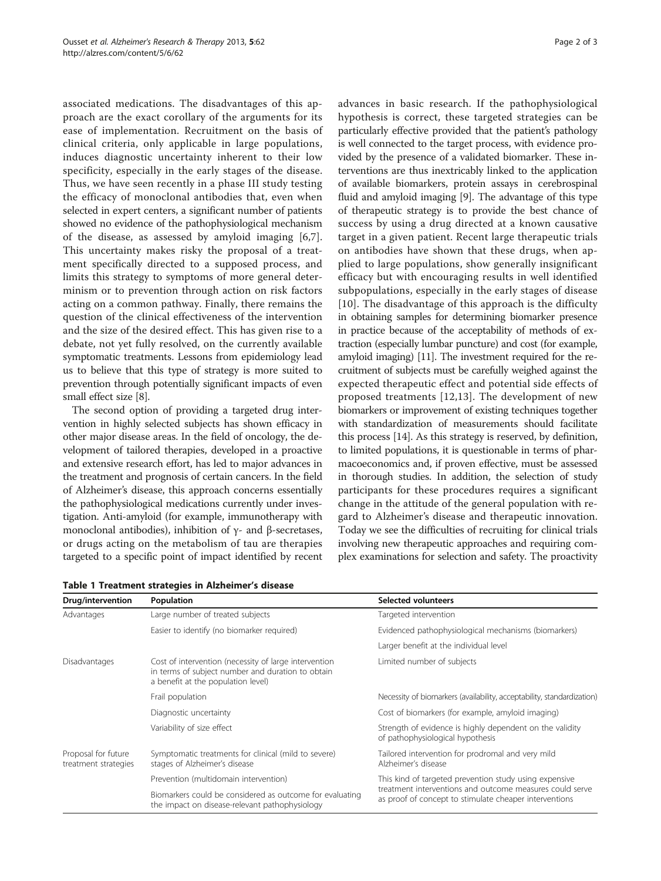<span id="page-1-0"></span>associated medications. The disadvantages of this approach are the exact corollary of the arguments for its ease of implementation. Recruitment on the basis of clinical criteria, only applicable in large populations, induces diagnostic uncertainty inherent to their low specificity, especially in the early stages of the disease. Thus, we have seen recently in a phase III study testing the efficacy of monoclonal antibodies that, even when selected in expert centers, a significant number of patients showed no evidence of the pathophysiological mechanism of the disease, as assessed by amyloid imaging [[6,7](#page-2-0)]. This uncertainty makes risky the proposal of a treatment specifically directed to a supposed process, and limits this strategy to symptoms of more general determinism or to prevention through action on risk factors acting on a common pathway. Finally, there remains the question of the clinical effectiveness of the intervention and the size of the desired effect. This has given rise to a debate, not yet fully resolved, on the currently available symptomatic treatments. Lessons from epidemiology lead us to believe that this type of strategy is more suited to prevention through potentially significant impacts of even small effect size [\[8](#page-2-0)].

The second option of providing a targeted drug intervention in highly selected subjects has shown efficacy in other major disease areas. In the field of oncology, the development of tailored therapies, developed in a proactive and extensive research effort, has led to major advances in the treatment and prognosis of certain cancers. In the field of Alzheimer's disease, this approach concerns essentially the pathophysiological medications currently under investigation. Anti-amyloid (for example, immunotherapy with monoclonal antibodies), inhibition of γ- and β-secretases, or drugs acting on the metabolism of tau are therapies targeted to a specific point of impact identified by recent

advances in basic research. If the pathophysiological hypothesis is correct, these targeted strategies can be particularly effective provided that the patient's pathology is well connected to the target process, with evidence provided by the presence of a validated biomarker. These interventions are thus inextricably linked to the application of available biomarkers, protein assays in cerebrospinal fluid and amyloid imaging [\[9](#page-2-0)]. The advantage of this type of therapeutic strategy is to provide the best chance of success by using a drug directed at a known causative target in a given patient. Recent large therapeutic trials on antibodies have shown that these drugs, when applied to large populations, show generally insignificant efficacy but with encouraging results in well identified subpopulations, especially in the early stages of disease [[10](#page-2-0)]. The disadvantage of this approach is the difficulty in obtaining samples for determining biomarker presence in practice because of the acceptability of methods of extraction (especially lumbar puncture) and cost (for example, amyloid imaging) [\[11\]](#page-2-0). The investment required for the recruitment of subjects must be carefully weighed against the expected therapeutic effect and potential side effects of proposed treatments [[12,13\]](#page-2-0). The development of new biomarkers or improvement of existing techniques together with standardization of measurements should facilitate this process [\[14\]](#page-2-0). As this strategy is reserved, by definition, to limited populations, it is questionable in terms of pharmacoeconomics and, if proven effective, must be assessed in thorough studies. In addition, the selection of study participants for these procedures requires a significant change in the attitude of the general population with regard to Alzheimer's disease and therapeutic innovation. Today we see the difficulties of recruiting for clinical trials involving new therapeutic approaches and requiring complex examinations for selection and safety. The proactivity

| Drug/intervention                           | <b>Population</b>                                                                                                                                | Selected volunteers                                                                                                                                                          |
|---------------------------------------------|--------------------------------------------------------------------------------------------------------------------------------------------------|------------------------------------------------------------------------------------------------------------------------------------------------------------------------------|
| Advantages                                  | Large number of treated subjects                                                                                                                 | Targeted intervention                                                                                                                                                        |
|                                             | Easier to identify (no biomarker required)                                                                                                       | Evidenced pathophysiological mechanisms (biomarkers)                                                                                                                         |
|                                             |                                                                                                                                                  | Larger benefit at the individual level                                                                                                                                       |
| Disadvantages                               | Cost of intervention (necessity of large intervention<br>in terms of subject number and duration to obtain<br>a benefit at the population level) | Limited number of subjects                                                                                                                                                   |
|                                             | Frail population                                                                                                                                 | Necessity of biomarkers (availability, acceptability, standardization)                                                                                                       |
|                                             | Diagnostic uncertainty                                                                                                                           | Cost of biomarkers (for example, amyloid imaging)                                                                                                                            |
|                                             | Variability of size effect                                                                                                                       | Strength of evidence is highly dependent on the validity<br>of pathophysiological hypothesis                                                                                 |
| Proposal for future<br>treatment strategies | Symptomatic treatments for clinical (mild to severe)<br>stages of Alzheimer's disease                                                            | Tailored intervention for prodromal and very mild<br>Alzheimer's disease                                                                                                     |
|                                             | Prevention (multidomain intervention)                                                                                                            | This kind of targeted prevention study using expensive<br>treatment interventions and outcome measures could serve<br>as proof of concept to stimulate cheaper interventions |
|                                             | Biomarkers could be considered as outcome for evaluating<br>the impact on disease-relevant pathophysiology                                       |                                                                                                                                                                              |

Table 1 Treatment strategies in Alzheimer's disease